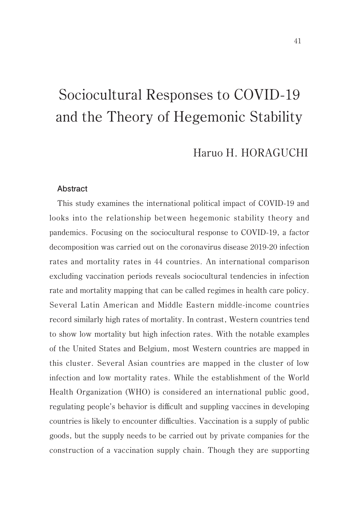# Haruo H. HORAGUCHI

#### **Abstract**

This study examines the international political impact of COVID-19 and looks into the relationship between hegemonic stability theory and pandemics. Focusing on the sociocultural response to COVID-19, a factor decomposition was carried out on the coronavirus disease 2019-20 infection rates and mortality rates in 44 countries. An international comparison excluding vaccination periods reveals sociocultural tendencies in infection rate and mortality mapping that can be called regimes in health care policy. Several Latin American and Middle Eastern middle-income countries record similarly high rates of mortality. In contrast, Western countries tend to show low mortality but high infection rates. With the notable examples of the United States and Belgium, most Western countries are mapped in this cluster. Several Asian countries are mapped in the cluster of low infection and low mortality rates. While the establishment of the World Health Organization (WHO) is considered an international public good, regulating people's behavior is difficult and suppling vaccines in developing countries is likely to encounter difficulties. Vaccination is a supply of public goods, but the supply needs to be carried out by private companies for the construction of a vaccination supply chain. Though they are supporting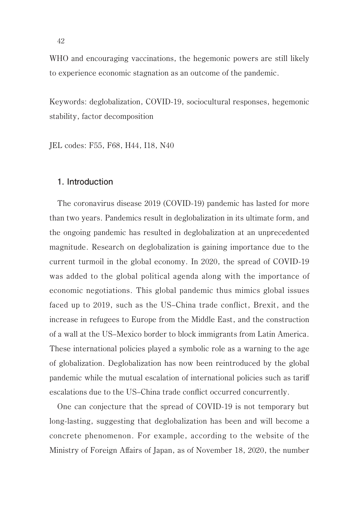WHO and encouraging vaccinations, the hegemonic powers are still likely to experience economic stagnation as an outcome of the pandemic.

Keywords: deglobalization, COVID-19, sociocultural responses, hegemonic stability, factor decomposition

JEL codes: F55, F68, H44, I18, N40

### **1. Introduction**

The coronavirus disease 2019 (COVID-19) pandemic has lasted for more than two years. Pandemics result in deglobalization in its ultimate form, and the ongoing pandemic has resulted in deglobalization at an unprecedented magnitude. Research on deglobalization is gaining importance due to the current turmoil in the global economy. In 2020, the spread of COVID-19 was added to the global political agenda along with the importance of economic negotiations. This global pandemic thus mimics global issues faced up to 2019, such as the US–China trade conflict, Brexit, and the increase in refugees to Europe from the Middle East, and the construction of a wall at the US–Mexico border to block immigrants from Latin America. These international policies played a symbolic role as a warning to the age of globalization. Deglobalization has now been reintroduced by the global pandemic while the mutual escalation of international policies such as tariff escalations due to the US–China trade conflict occurred concurrently.

One can conjecture that the spread of COVID-19 is not temporary but long-lasting, suggesting that deglobalization has been and will become a concrete phenomenon. For example, according to the website of the Ministry of Foreign Affairs of Japan, as of November 18, 2020, the number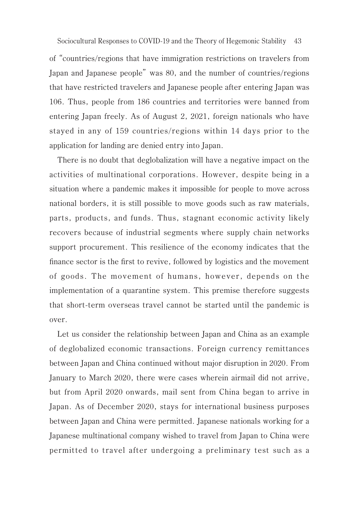of "countries/regions that have immigration restrictions on travelers from Japan and Japanese people" was 80, and the number of countries/regions that have restricted travelers and Japanese people after entering Japan was 106. Thus, people from 186 countries and territories were banned from entering Japan freely. As of August 2, 2021, foreign nationals who have stayed in any of 159 countries/regions within 14 days prior to the application for landing are denied entry into Japan.

There is no doubt that deglobalization will have a negative impact on the activities of multinational corporations. However, despite being in a situation where a pandemic makes it impossible for people to move across national borders, it is still possible to move goods such as raw materials, parts, products, and funds. Thus, stagnant economic activity likely recovers because of industrial segments where supply chain networks support procurement. This resilience of the economy indicates that the finance sector is the first to revive, followed by logistics and the movement of goods. The movement of humans, however, depends on the implementation of a quarantine system. This premise therefore suggests that short-term overseas travel cannot be started until the pandemic is over.

Let us consider the relationship between Japan and China as an example of deglobalized economic transactions. Foreign currency remittances between Japan and China continued without major disruption in 2020. From January to March 2020, there were cases wherein airmail did not arrive, but from April 2020 onwards, mail sent from China began to arrive in Japan. As of December 2020, stays for international business purposes between Japan and China were permitted. Japanese nationals working for a Japanese multinational company wished to travel from Japan to China were permitted to travel after undergoing a preliminary test such as a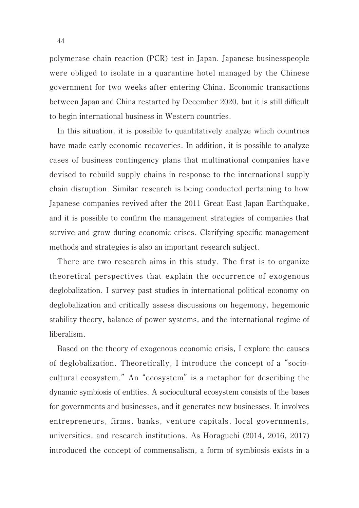polymerase chain reaction (PCR) test in Japan. Japanese businesspeople were obliged to isolate in a quarantine hotel managed by the Chinese government for two weeks after entering China. Economic transactions between Japan and China restarted by December 2020, but it is still difficult to begin international business in Western countries.

In this situation, it is possible to quantitatively analyze which countries have made early economic recoveries. In addition, it is possible to analyze cases of business contingency plans that multinational companies have devised to rebuild supply chains in response to the international supply chain disruption. Similar research is being conducted pertaining to how Japanese companies revived after the 2011 Great East Japan Earthquake, and it is possible to confirm the management strategies of companies that survive and grow during economic crises. Clarifying specific management methods and strategies is also an important research subject.

There are two research aims in this study. The first is to organize theoretical perspectives that explain the occurrence of exogenous deglobalization. I survey past studies in international political economy on deglobalization and critically assess discussions on hegemony, hegemonic stability theory, balance of power systems, and the international regime of liberalism.

Based on the theory of exogenous economic crisis, I explore the causes of deglobalization. Theoretically, I introduce the concept of a "sociocultural ecosystem." An "ecosystem" is a metaphor for describing the dynamic symbiosis of entities. A sociocultural ecosystem consists of the bases for governments and businesses, and it generates new businesses. It involves entrepreneurs, firms, banks, venture capitals, local governments, universities, and research institutions. As Horaguchi (2014, 2016, 2017) introduced the concept of commensalism, a form of symbiosis exists in a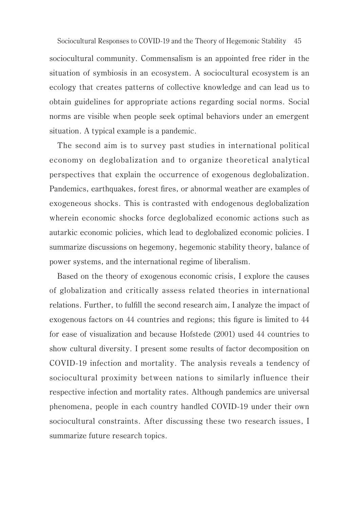45 Sociocultural Responses to COVID-19 and the Theory of Hegemonic Stabilitysociocultural community. Commensalism is an appointed free rider in the situation of symbiosis in an ecosystem. A sociocultural ecosystem is an ecology that creates patterns of collective knowledge and can lead us to obtain guidelines for appropriate actions regarding social norms. Social norms are visible when people seek optimal behaviors under an emergent situation. A typical example is a pandemic.

The second aim is to survey past studies in international political economy on deglobalization and to organize theoretical analytical perspectives that explain the occurrence of exogenous deglobalization. Pandemics, earthquakes, forest fires, or abnormal weather are examples of exogeneous shocks. This is contrasted with endogenous deglobalization wherein economic shocks force deglobalized economic actions such as autarkic economic policies, which lead to deglobalized economic policies. I summarize discussions on hegemony, hegemonic stability theory, balance of power systems, and the international regime of liberalism.

Based on the theory of exogenous economic crisis, I explore the causes of globalization and critically assess related theories in international relations. Further, to fulfill the second research aim, I analyze the impact of exogenous factors on 44 countries and regions; this figure is limited to 44 for ease of visualization and because Hofstede (2001) used 44 countries to show cultural diversity. I present some results of factor decomposition on COVID-19 infection and mortality. The analysis reveals a tendency of sociocultural proximity between nations to similarly influence their respective infection and mortality rates. Although pandemics are universal phenomena, people in each country handled COVID-19 under their own sociocultural constraints. After discussing these two research issues, I summarize future research topics.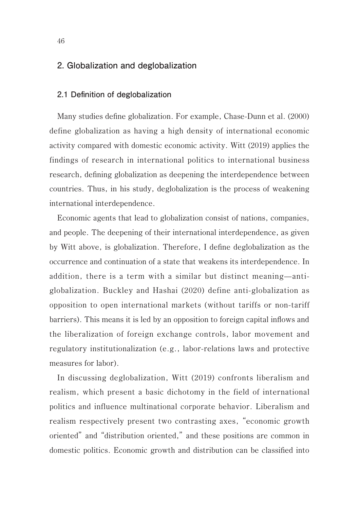# **2. Globalization and deglobalization**

#### **2.1 Definition of deglobalization**

Many studies define globalization. For example, Chase-Dunn et al. (2000) define globalization as having a high density of international economic activity compared with domestic economic activity. Witt (2019) applies the findings of research in international politics to international business research, defining globalization as deepening the interdependence between countries. Thus, in his study, deglobalization is the process of weakening international interdependence.

Economic agents that lead to globalization consist of nations, companies, and people. The deepening of their international interdependence, as given by Witt above, is globalization. Therefore, I define deglobalization as the occurrence and continuation of a state that weakens its interdependence. In addition, there is a term with a similar but distinct meaning—antiglobalization. Buckley and Hashai (2020) define anti-globalization as opposition to open international markets (without tariffs or non-tariff barriers). This means it is led by an opposition to foreign capital inflows and the liberalization of foreign exchange controls, labor movement and regulatory institutionalization (e.g., labor-relations laws and protective measures for labor).

In discussing deglobalization, Witt (2019) confronts liberalism and realism, which present a basic dichotomy in the field of international politics and influence multinational corporate behavior. Liberalism and realism respectively present two contrasting axes, "economic growth oriented" and "distribution oriented," and these positions are common in domestic politics. Economic growth and distribution can be classified into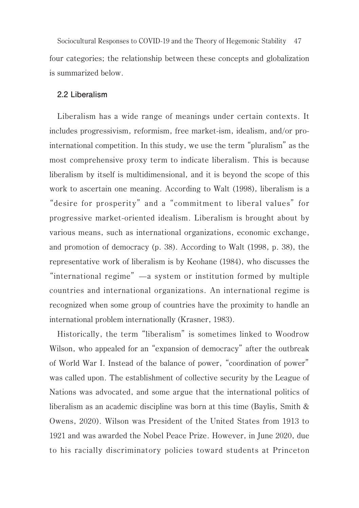47 Sociocultural Responses to COVID-19 and the Theory of Hegemonic Stabilityfour categories; the relationship between these concepts and globalization is summarized below.

#### **2.2 Liberalism**

Liberalism has a wide range of meanings under certain contexts. It includes progressivism, reformism, free market-ism, idealism, and/or prointernational competition. In this study, we use the term "pluralism" as the most comprehensive proxy term to indicate liberalism. This is because liberalism by itself is multidimensional, and it is beyond the scope of this work to ascertain one meaning. According to Walt (1998), liberalism is a "desire for prosperity" and a "commitment to liberal values" for progressive market-oriented idealism. Liberalism is brought about by various means, such as international organizations, economic exchange, and promotion of democracy (p. 38). According to Walt (1998, p. 38), the representative work of liberalism is by Keohane (1984), who discusses the "international regime"—a system or institution formed by multiple countries and international organizations. An international regime is recognized when some group of countries have the proximity to handle an international problem internationally (Krasner, 1983).

Historically, the term "liberalism" is sometimes linked to Woodrow Wilson, who appealed for an "expansion of democracy" after the outbreak of World War I. Instead of the balance of power, "coordination of power" was called upon. The establishment of collective security by the League of Nations was advocated, and some argue that the international politics of liberalism as an academic discipline was born at this time (Baylis, Smith & Owens, 2020). Wilson was President of the United States from 1913 to 1921 and was awarded the Nobel Peace Prize. However, in June 2020, due to his racially discriminatory policies toward students at Princeton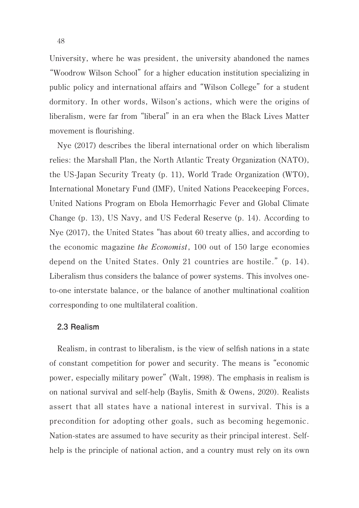University, where he was president, the university abandoned the names "Woodrow Wilson School" for a higher education institution specializing in public policy and international affairs and "Wilson College" for a student dormitory. In other words, Wilson's actions, which were the origins of liberalism, were far from "liberal" in an era when the Black Lives Matter movement is flourishing.

Nye (2017) describes the liberal international order on which liberalism relies: the Marshall Plan, the North Atlantic Treaty Organization (NATO), the US-Japan Security Treaty (p. 11), World Trade Organization (WTO), International Monetary Fund (IMF), United Nations Peacekeeping Forces, United Nations Program on Ebola Hemorrhagic Fever and Global Climate Change (p. 13), US Navy, and US Federal Reserve (p. 14). According to Nye (2017), the United States "has about 60 treaty allies, and according to the economic magazine the Economist, 100 out of 150 large economies depend on the United States. Only 21 countries are hostile." (p. 14). Liberalism thus considers the balance of power systems. This involves oneto-one interstate balance, or the balance of another multinational coalition corresponding to one multilateral coalition.

#### **2.3 Realism**

Realism, in contrast to liberalism, is the view of selfish nations in a state of constant competition for power and security. The means is "economic power, especially military power" (Walt, 1998). The emphasis in realism is on national survival and self-help (Baylis, Smith & Owens, 2020). Realists assert that all states have a national interest in survival. This is a precondition for adopting other goals, such as becoming hegemonic. Nation-states are assumed to have security as their principal interest. Selfhelp is the principle of national action, and a country must rely on its own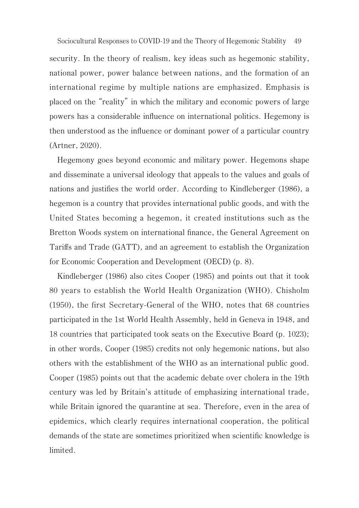49 Sociocultural Responses to COVID-19 and the Theory of Hegemonic Stabilitysecurity. In the theory of realism, key ideas such as hegemonic stability, national power, power balance between nations, and the formation of an international regime by multiple nations are emphasized. Emphasis is placed on the "reality" in which the military and economic powers of large powers has a considerable influence on international politics. Hegemony is then understood as the influence or dominant power of a particular country (Artner, 2020).

Hegemony goes beyond economic and military power. Hegemons shape and disseminate a universal ideology that appeals to the values and goals of nations and justifies the world order. According to Kindleberger (1986), a hegemon is a country that provides international public goods, and with the United States becoming a hegemon, it created institutions such as the Bretton Woods system on international finance, the General Agreement on Tariffs and Trade (GATT), and an agreement to establish the Organization for Economic Cooperation and Development (OECD) (p. 8).

Kindleberger (1986) also cites Cooper (1985) and points out that it took 80 years to establish the World Health Organization (WHO). Chisholm (1950), the first Secretary-General of the WHO, notes that 68 countries participated in the 1st World Health Assembly, held in Geneva in 1948, and 18 countries that participated took seats on the Executive Board (p. 1023); in other words, Cooper (1985) credits not only hegemonic nations, but also others with the establishment of the WHO as an international public good. Cooper (1985) points out that the academic debate over cholera in the 19th century was led by Britain's attitude of emphasizing international trade, while Britain ignored the quarantine at sea. Therefore, even in the area of epidemics, which clearly requires international cooperation, the political demands of the state are sometimes prioritized when scientific knowledge is limited.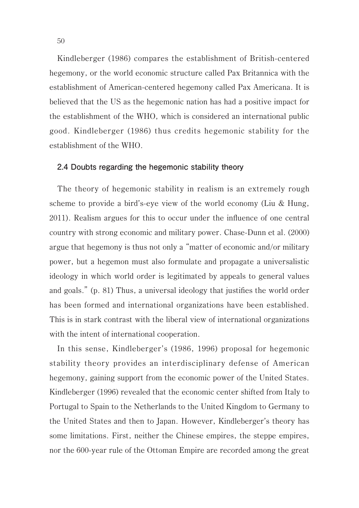Kindleberger (1986) compares the establishment of British-centered hegemony, or the world economic structure called Pax Britannica with the establishment of American-centered hegemony called Pax Americana. It is believed that the US as the hegemonic nation has had a positive impact for the establishment of the WHO, which is considered an international public good. Kindleberger (1986) thus credits hegemonic stability for the establishment of the WHO.

#### **2.4 Doubts regarding the hegemonic stability theory**

The theory of hegemonic stability in realism is an extremely rough scheme to provide a bird's-eye view of the world economy (Liu & Hung, 2011). Realism argues for this to occur under the influence of one central country with strong economic and military power. Chase-Dunn et al. (2000) argue that hegemony is thus not only a "matter of economic and/or military power, but a hegemon must also formulate and propagate a universalistic ideology in which world order is legitimated by appeals to general values and goals." (p. 81) Thus, a universal ideology that justifies the world order has been formed and international organizations have been established. This is in stark contrast with the liberal view of international organizations with the intent of international cooperation.

In this sense, Kindleberger's (1986, 1996) proposal for hegemonic stability theory provides an interdisciplinary defense of American hegemony, gaining support from the economic power of the United States. Kindleberger (1996) revealed that the economic center shifted from Italy to Portugal to Spain to the Netherlands to the United Kingdom to Germany to the United States and then to Japan. However, Kindleberger's theory has some limitations. First, neither the Chinese empires, the steppe empires, nor the 600-year rule of the Ottoman Empire are recorded among the great

50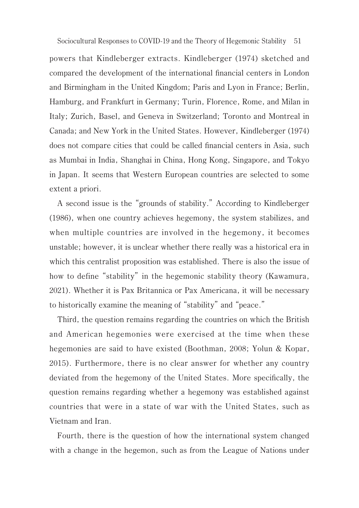powers that Kindleberger extracts. Kindleberger (1974) sketched and compared the development of the international financial centers in London and Birmingham in the United Kingdom; Paris and Lyon in France; Berlin, Hamburg, and Frankfurt in Germany; Turin, Florence, Rome, and Milan in Italy; Zurich, Basel, and Geneva in Switzerland; Toronto and Montreal in Canada; and New York in the United States. However, Kindleberger (1974) does not compare cities that could be called financial centers in Asia, such as Mumbai in India, Shanghai in China, Hong Kong, Singapore, and Tokyo in Japan. It seems that Western European countries are selected to some extent a priori.

A second issue is the "grounds of stability." According to Kindleberger (1986), when one country achieves hegemony, the system stabilizes, and when multiple countries are involved in the hegemony, it becomes unstable; however, it is unclear whether there really was a historical era in which this centralist proposition was established. There is also the issue of how to define "stability" in the hegemonic stability theory (Kawamura, 2021). Whether it is Pax Britannica or Pax Americana, it will be necessary to historically examine the meaning of "stability" and "peace."

Third, the question remains regarding the countries on which the British and American hegemonies were exercised at the time when these hegemonies are said to have existed (Boothman, 2008; Yolun & Kopar, 2015). Furthermore, there is no clear answer for whether any country deviated from the hegemony of the United States. More specifically, the question remains regarding whether a hegemony was established against countries that were in a state of war with the United States, such as Vietnam and Iran.

Fourth, there is the question of how the international system changed with a change in the hegemon, such as from the League of Nations under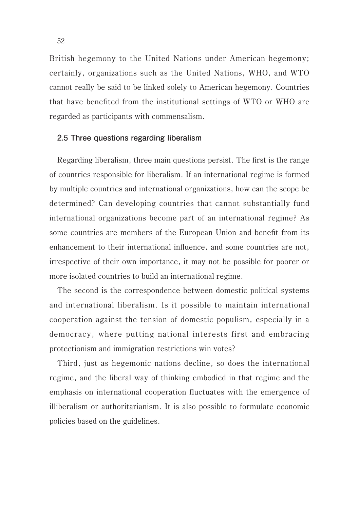British hegemony to the United Nations under American hegemony; certainly, organizations such as the United Nations, WHO, and WTO cannot really be said to be linked solely to American hegemony. Countries that have benefited from the institutional settings of WTO or WHO are regarded as participants with commensalism.

#### **2.5 Three questions regarding liberalism**

Regarding liberalism, three main questions persist. The first is the range of countries responsible for liberalism. If an international regime is formed by multiple countries and international organizations, how can the scope be determined? Can developing countries that cannot substantially fund international organizations become part of an international regime? As some countries are members of the European Union and benefit from its enhancement to their international influence, and some countries are not, irrespective of their own importance, it may not be possible for poorer or more isolated countries to build an international regime.

The second is the correspondence between domestic political systems and international liberalism. Is it possible to maintain international cooperation against the tension of domestic populism, especially in a democracy, where putting national interests first and embracing protectionism and immigration restrictions win votes?

Third, just as hegemonic nations decline, so does the international regime, and the liberal way of thinking embodied in that regime and the emphasis on international cooperation fluctuates with the emergence of illiberalism or authoritarianism. It is also possible to formulate economic policies based on the guidelines.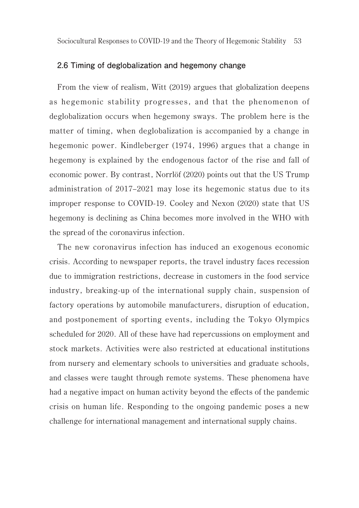#### **2.6 Timing of deglobalization and hegemony change**

From the view of realism, Witt (2019) argues that globalization deepens as hegemonic stability progresses, and that the phenomenon of deglobalization occurs when hegemony sways. The problem here is the matter of timing, when deglobalization is accompanied by a change in hegemonic power. Kindleberger (1974, 1996) argues that a change in hegemony is explained by the endogenous factor of the rise and fall of economic power. By contrast, Norrlöf (2020) points out that the US Trump administration of 2017–2021 may lose its hegemonic status due to its improper response to COVID-19. Cooley and Nexon (2020) state that US hegemony is declining as China becomes more involved in the WHO with the spread of the coronavirus infection.

The new coronavirus infection has induced an exogenous economic crisis. According to newspaper reports, the travel industry faces recession due to immigration restrictions, decrease in customers in the food service industry, breaking-up of the international supply chain, suspension of factory operations by automobile manufacturers, disruption of education, and postponement of sporting events, including the Tokyo Olympics scheduled for 2020. All of these have had repercussions on employment and stock markets. Activities were also restricted at educational institutions from nursery and elementary schools to universities and graduate schools, and classes were taught through remote systems. These phenomena have had a negative impact on human activity beyond the effects of the pandemic crisis on human life. Responding to the ongoing pandemic poses a new challenge for international management and international supply chains.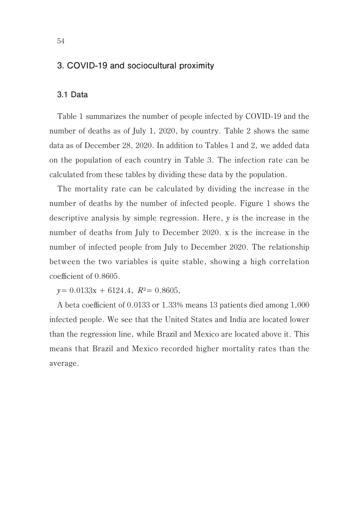# **3. COVID-19 and sociocultural proximity**

#### **3.1 Data**

Table 1 summarizes the number of people infected by COVID-19 and the number of deaths as of July 1, 2020, by country. Table 2 shows the same data as of December 28, 2020. In addition to Tables 1 and 2, we added data on the population of each country in Table 3. The infection rate can be calculated from these tables by dividing these data by the population.

The mortality rate can be calculated by dividing the increase in the number of deaths by the number of infected people. Figure 1 shows the descriptive analysis by simple regression. Here, y is the increase in the number of deaths from July to December 2020. x is the increase in the number of infected people from July to December 2020. The relationship between the two variables is quite stable, showing a high correlation coefficient of 0.8605.

 $y= 0.0133x + 6124.4$ ,  $R^2= 0.8605$ ,

A beta coefficient of 0.0133 or 1.33% means 13 patients died among 1,000 infected people. We see that the United States and India are located lower than the regression line, while Brazil and Mexico are located above it. This means that Brazil and Mexico recorded higher mortality rates than the average.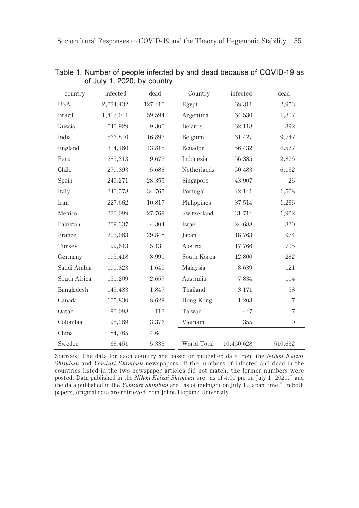| country       | infected  | dead    | Country        | infected   | dead           |
|---------------|-----------|---------|----------------|------------|----------------|
| <b>USA</b>    | 2,634,432 | 127,410 | Egypt          | 68,311     | 2,953          |
| <b>Brazil</b> | 1.402.041 | 59,594  | Argentina      | 64,530     | 1,307          |
| Russia        | 646,929   | 9,306   | <b>Belarus</b> | 62,118     | 392            |
| India         | 566,840   | 16,893  | Belgium        | 61,427     | 9,747          |
| England       | 314,160   | 43,815  | Ecuador        | 56,432     | 4,527          |
| Peru          | 285,213   | 9.677   | Indonesia      | 56,385     | 2,876          |
| Chile         | 279,393   | 5,688   | Netherlands    | 50,483     | 6,132          |
| Spain         | 249,271   | 28,355  | Singapore      | 43,907     | 26             |
| Italy         | 240.578   | 34,767  | Portugal       | 42,141     | 1,568          |
| Iran          | 227,662   | 10,817  | Philippines    | 37,514     | 1,266          |
| Mexico        | 226,089   | 27,769  | Switzerland    | 31,714     | 1,962          |
| Pakistan      | 209,337   | 4,304   | Israel         | 24,688     | 320            |
| France        | 202,063   | 29,848  | Japan          | 18,763     | 974            |
| Turkey        | 199,613   | 5,131   | Austria        | 17,766     | 705            |
| Germany       | 195,418   | 8,990   | South Korea    | 12,800     | 282            |
| Saudi Arabia  | 190,823   | 1,649   | Malaysia       | 8,639      | 121            |
| South Africa  | 151,209   | 2,657   | Australia      | 7,834      | 104            |
| Bangladesh    | 145,483   | 1,847   | Thailand       | 3,171      | 58             |
| Canada        | 105,830   | 8,628   | Hong Kong      | 1,203      | $\overline{7}$ |
| Qatar         | 96,088    | 113     | Taiwan         | 447        | 7              |
| Colombia      | 95,269    | 3,376   | Vietnam        | 355        | $\theta$       |
| China         | 84,785    | 4,641   |                |            |                |
| Sweden        | 68,451    | 5,333   | World Total    | 10,450,628 | 510,632        |

**Table 1. Number of people infected by and dead because of COVID-19 as of July 1, 2020, by country**

Sources: The data for each country are based on published data from the Nihon Keizai Shimbun and Yomiuri Shimbun newspapers. If the numbers of infected and dead in the countries listed in the two newspaper articles did not match, the former numbers were posted. Data published in the Nihon Keizai Shimbun are "as of 4:00 pm on July 1, 2020," and the data published in the Yomiuri Shimbun are "as of midnight on July 1, Japan time." In both papers, original data are retrieved from Johns Hopkins University.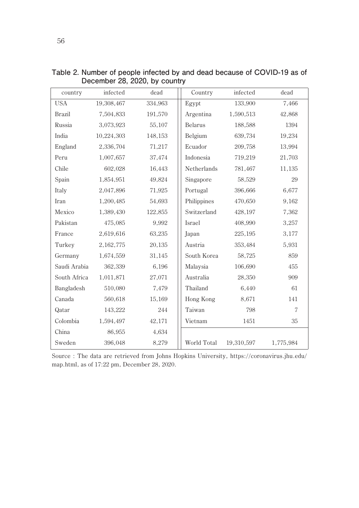| country      | infected   | dead    | Country     | infected   | dead      |
|--------------|------------|---------|-------------|------------|-----------|
| <b>USA</b>   | 19,308,467 | 334,963 | Egypt       | 133,900    | 7,466     |
| Brazil       | 7,504,833  | 191,570 | Argentina   | 1,590,513  | 42,868    |
| Russia       | 3,073,923  | 55,107  | Belarus     | 188,588    | 1394      |
| India        | 10,224,303 | 148,153 | Belgium     | 639,734    | 19,234    |
| England      | 2,336,704  | 71,217  | Ecuador     | 209,758    | 13,994    |
| Peru         | 1,007,657  | 37.474  | Indonesia   | 719,219    | 21,703    |
| Chile        | 602,028    | 16,443  | Netherlands | 781,467    | 11,135    |
| Spain        | 1,854,951  | 49,824  | Singapore   | 58,529     | 29        |
| Italy        | 2,047,896  | 71,925  | Portugal    | 396,666    | 6,677     |
| Iran         | 1,200,485  | 54,693  | Philippines | 470,650    | 9,162     |
| Mexico       | 1,389,430  | 122,855 | Switzerland | 428,197    | 7,362     |
| Pakistan     | 475,085    | 9,992   | Israel      | 408,990    | 3,257     |
| France       | 2,619,616  | 63,235  | Japan       | 225,195    | 3,177     |
| Turkey       | 2,162,775  | 20,135  | Austria     | 353,484    | 5,931     |
| Germany      | 1,674,559  | 31,145  | South Korea | 58,725     | 859       |
| Saudi Arabia | 362,339    | 6,196   | Malaysia    | 106,690    | 455       |
| South Africa | 1,011,871  | 27,071  | Australia   | 28,350     | 909       |
| Bangladesh   | 510,080    | 7,479   | Thailand    | 6,440      | 61        |
| Canada       | 560,618    | 15,169  | Hong Kong   | 8,671      | 141       |
| Qatar        | 143,222    | 244     | Taiwan      | 798        | 7         |
| Colombia     | 1,594,497  | 42,171  | Vietnam     | 1451       | 35        |
| China        | 86,955     | 4,634   |             |            |           |
| Sweden       | 396,048    | 8,279   | World Total | 19,310,597 | 1,775,984 |

**Table 2. Number of people infected by and dead because of COVID-19 as of December 28, 2020, by country**

Source : The data are retrieved from Johns Hopkins University, https://coronavirus.jhu.edu/ map.html, as of 17:22 pm, December 28, 2020.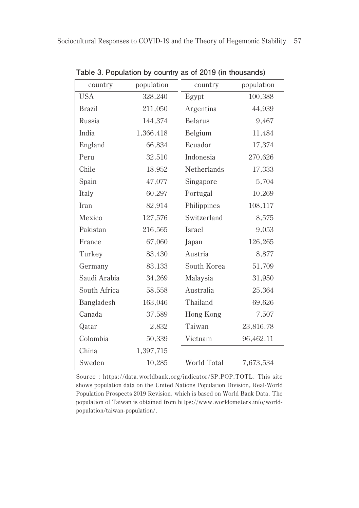| country       | population | country        | population |
|---------------|------------|----------------|------------|
| <b>USA</b>    | 328,240    | Egypt          | 100,388    |
| <b>Brazil</b> | 211,050    | Argentina      | 44,939     |
| Russia        | 144,374    | <b>Belarus</b> | 9,467      |
| India         | 1,366,418  | Belgium        | 11,484     |
| England       | 66,834     | Ecuador        | 17,374     |
| Peru          | 32,510     | Indonesia      | 270,626    |
| Chile         | 18,952     | Netherlands    | 17,333     |
| Spain         | 47,077     | Singapore      | 5,704      |
| Italy         | 60,297     | Portugal       | 10,269     |
| Iran          | 82,914     | Philippines    | 108,117    |
| Mexico        | 127,576    | Switzerland    | 8,575      |
| Pakistan      | 216,565    | Israel         | 9,053      |
| France        | 67,060     | Japan          | 126,265    |
| Turkey        | 83,430     | Austria        | 8,877      |
| Germany       | 83,133     | South Korea    | 51,709     |
| Saudi Arabia  | 34,269     | Malaysia       | 31,950     |
| South Africa  | 58,558     | Australia      | 25,364     |
| Bangladesh    | 163,046    | Thailand       | 69,626     |
| Canada        | 37,589     | Hong Kong      | 7,507      |
| Qatar         | 2,832      | Taiwan         | 23,816.78  |
| Colombia      | 50,339     | Vietnam        | 96,462.11  |
| China         | 1,397,715  |                |            |
| Sweden        | 10,285     | World Total    | 7,673,534  |

**Table 3. Population by country as of 2019 (in thousands)**

Source : https://data.worldbank.org/indicator/SP.POP.TOTL. This site shows population data on the United Nations Population Division, Real-World Population Prospects 2019 Revision, which is based on World Bank Data. The population of Taiwan is obtained from https://www.worldometers.info/worldpopulation/taiwan-population/.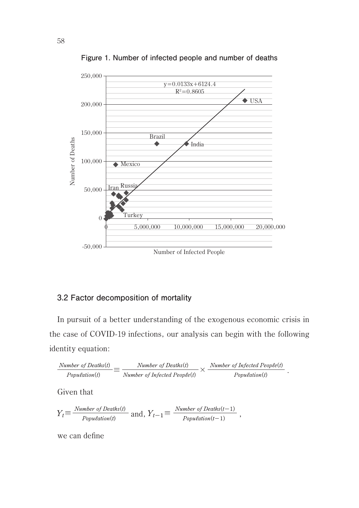

**Figure 1. Number of infected people and number of deaths**

# **3.2 Factor decomposition of mortality**

In pursuit of a better understanding of the exogenous economic crisis in the case of COVID-19 infections, our analysis can begin with the following identity equation:

$$
\frac{Number\ of\ Deaths(t)}{Population(t)} \equiv \frac{Number\ of\ Deaths(t)}{Number\ of\ Infected\ People(t)} \times \frac{Number\ of\ Infected\ People(t)}{Population(t)}.
$$

Given that

$$
Y_t \equiv \frac{Number\ of\ Deaths(t)}{Population(t)}\ \text{and,}\ Y_{t-1} \equiv \frac{Number\ of\ Deaths(t-1)}{Population(t-1)}\ ,
$$

we can define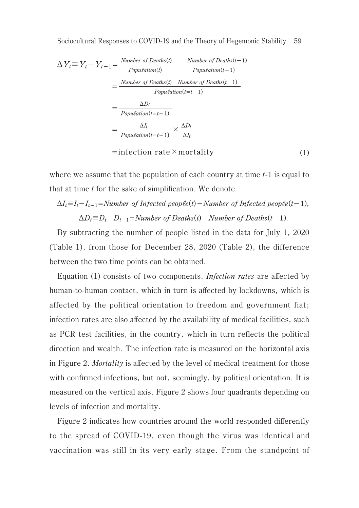$$
\Delta Y_t \equiv Y_t - Y_{t-1} = \frac{Number\ of\ Deaths(t)}{Population(t)} - \frac{Number\ of\ Deaths(t-1)}{Population(t-1)}
$$

$$
= \frac{Number\ of\ Deaths(t) - Number\ of\ Deaths(t-1)}{Population(t=t-1)}
$$

$$
= \frac{\Delta D_t}{Population(t=t-1)}
$$

$$
= \frac{\Delta I_t}{Population(t=t-1)} \times \frac{\Delta D_t}{\Delta I_t}
$$

$$
= infection\ rate \times mortality \tag{1}
$$

where we assume that the population of each country at time  $t-1$  is equal to that at time  $t$  for the sake of simplification. We denote

$$
\Delta I_t = I_t - I_{t-1} = Number\ of\ infected\ people(t) - Number\ of\ Infected\ people(t-1),
$$
  

$$
\Delta D_t = D_t - D_{t-1} = Number\ of\ Deaths(t) - Number\ of\ Deaths(t-1).
$$

By subtracting the number of people listed in the data for July 1, 2020 (Table 1), from those for December 28, 2020 (Table 2), the difference between the two time points can be obtained.

Equation (1) consists of two components. Infection rates are affected by human-to-human contact, which in turn is affected by lockdowns, which is affected by the political orientation to freedom and government fiat; infection rates are also affected by the availability of medical facilities, such as PCR test facilities, in the country, which in turn reflects the political direction and wealth. The infection rate is measured on the horizontal axis in Figure 2. Mortality is affected by the level of medical treatment for those with confirmed infections, but not, seemingly, by political orientation. It is measured on the vertical axis. Figure 2 shows four quadrants depending on levels of infection and mortality.

Figure 2 indicates how countries around the world responded differently to the spread of COVID-19, even though the virus was identical and vaccination was still in its very early stage. From the standpoint of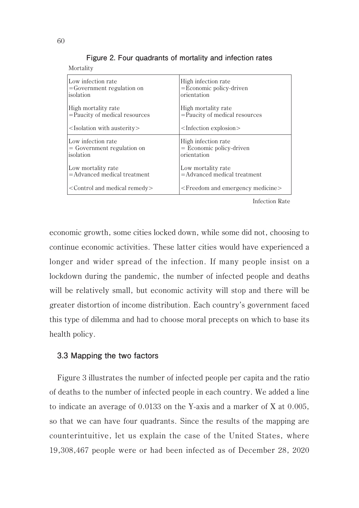| Low infection rate                              | High infection rate                                 |  |  |
|-------------------------------------------------|-----------------------------------------------------|--|--|
| $=$ Government regulation on                    | $=$ Economic policy-driven                          |  |  |
| isolation                                       | orientation                                         |  |  |
| High mortality rate                             | High mortality rate                                 |  |  |
| $=\bar{P}$ aucity of medical resources          | $=\bar{P}$ aucity of medical resources              |  |  |
| $\leq$ Isolation with austerity $>$             | $\leq$ Infection explosion $>$                      |  |  |
| Low infection rate                              | High infection rate                                 |  |  |
| $=$ Government regulation on                    | $=$ Economic policy-driven                          |  |  |
| isolation                                       | orientation                                         |  |  |
| Low mortality rate                              | Low mortality rate                                  |  |  |
| $=$ Advanced medical treatment                  | $=$ Advanced medical treatment                      |  |  |
| <control and="" medical="" remedy=""></control> | <freedom and="" emergency="" medicine=""></freedom> |  |  |

**Figure 2. Four quadrants of mortality and infection rates**

Infection Rate

economic growth, some cities locked down, while some did not, choosing to continue economic activities. These latter cities would have experienced a longer and wider spread of the infection. If many people insist on a lockdown during the pandemic, the number of infected people and deaths will be relatively small, but economic activity will stop and there will be greater distortion of income distribution. Each country's government faced this type of dilemma and had to choose moral precepts on which to base its health policy.

#### **3.3 Mapping the two factors**

Figure 3 illustrates the number of infected people per capita and the ratio of deaths to the number of infected people in each country. We added a line to indicate an average of 0.0133 on the Y-axis and a marker of X at 0.005, so that we can have four quadrants. Since the results of the mapping are counterintuitive, let us explain the case of the United States, where 19,308,467 people were or had been infected as of December 28, 2020

Mortality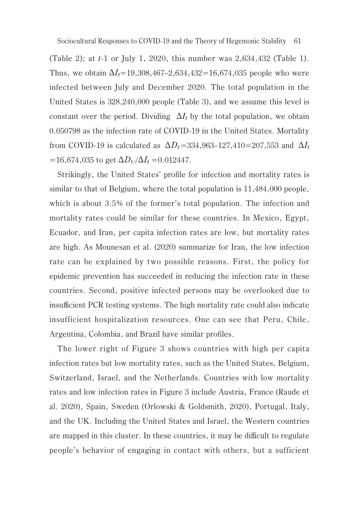(Table 2); at t-1 or July 1, 2020, this number was 2,634,432 (Table 1). Thus, we obtain  $\Delta I_t = 19,308,467-2,634,432=16,674,035$  people who were infected between July and December 2020. The total population in the United States is 328,240,000 people (Table 3), and we assume this level is constant over the period. Dividing  $\Delta I_t$  by the total population, we obtain 0.050798 as the infection rate of COVID-19 in the United States. Mortality from COVID-19 is calculated as  $\Delta D_t$  =334,963–127,410=207,553 and  $\Delta I_t$ =16,674,035 to get  $\Delta D_t / \Delta I_t$  =0.012447.

Strikingly, the United States' profile for infection and mortality rates is similar to that of Belgium, where the total population is 11,484,000 people, which is about 3.5% of the former's total population. The infection and mortality rates could be similar for these countries. In Mexico, Egypt, Ecuador, and Iran, per capita infection rates are low, but mortality rates are high. As Mounesan et al. (2020) summarize for Iran, the low infection rate can be explained by two possible reasons. First, the policy for epidemic prevention has succeeded in reducing the infection rate in these countries. Second, positive infected persons may be overlooked due to insufficient PCR testing systems. The high mortality rate could also indicate insufficient hospitalization resources. One can see that Peru, Chile, Argentina, Colombia, and Brazil have similar profiles.

The lower right of Figure 3 shows countries with high per capita infection rates but low mortality rates, such as the United States, Belgium, Switzerland, Israel, and the Netherlands. Countries with low mortality rates and low infection rates in Figure 3 include Austria, France (Raude et al. 2020), Spain, Sweden (Orlowski & Goldsmith, 2020), Portugal, Italy, and the UK. Including the United States and Israel, the Western countries are mapped in this cluster. In these countries, it may be difficult to regulate people's behavior of engaging in contact with others, but a sufficient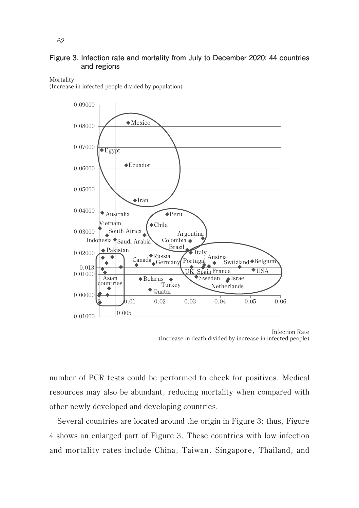#### **Figure 3. Infection rate and mortality from July to December 2020: 44 countries and regions**

#### Mortality

(Increase in infected people divided by population)



Infection Rate (Increase in death divided by increase in infected people)

number of PCR tests could be performed to check for positives. Medical resources may also be abundant, reducing mortality when compared with other newly developed and developing countries.

Several countries are located around the origin in Figure 3; thus, Figure 4 shows an enlarged part of Figure 3. These countries with low infection and mortality rates include China, Taiwan, Singapore, Thailand, and

62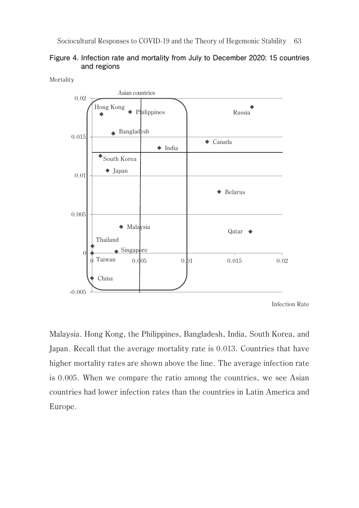



Mortality

Infection Rate

Malaysia. Hong Kong, the Philippines, Bangladesh, India, South Korea, and Japan. Recall that the average mortality rate is 0.013. Countries that have higher mortality rates are shown above the line. The average infection rate is 0.005. When we compare the ratio among the countries, we see Asian countries had lower infection rates than the countries in Latin America and Europe.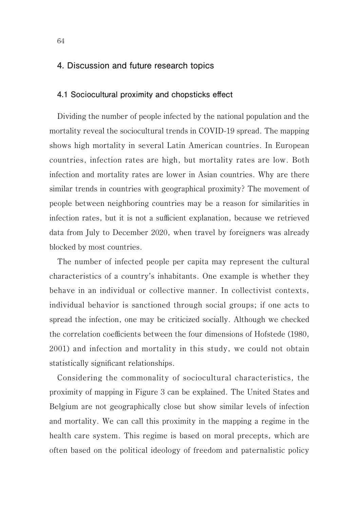# **4. Discussion and future research topics**

#### **4.1 Sociocultural proximity and chopsticks effect**

Dividing the number of people infected by the national population and the mortality reveal the sociocultural trends in COVID-19 spread. The mapping shows high mortality in several Latin American countries. In European countries, infection rates are high, but mortality rates are low. Both infection and mortality rates are lower in Asian countries. Why are there similar trends in countries with geographical proximity? The movement of people between neighboring countries may be a reason for similarities in infection rates, but it is not a sufficient explanation, because we retrieved data from July to December 2020, when travel by foreigners was already blocked by most countries.

The number of infected people per capita may represent the cultural characteristics of a country's inhabitants. One example is whether they behave in an individual or collective manner. In collectivist contexts, individual behavior is sanctioned through social groups; if one acts to spread the infection, one may be criticized socially. Although we checked the correlation coefficients between the four dimensions of Hofstede (1980, 2001) and infection and mortality in this study, we could not obtain statistically significant relationships.

Considering the commonality of sociocultural characteristics, the proximity of mapping in Figure 3 can be explained. The United States and Belgium are not geographically close but show similar levels of infection and mortality. We can call this proximity in the mapping a regime in the health care system. This regime is based on moral precepts, which are often based on the political ideology of freedom and paternalistic policy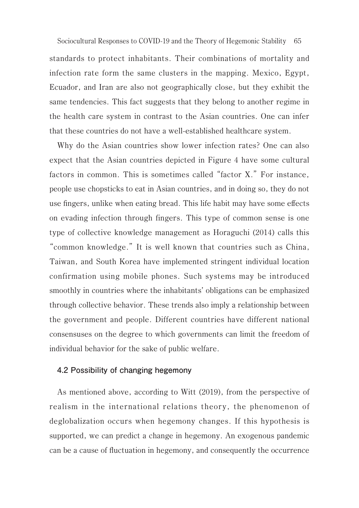65 Sociocultural Responses to COVID-19 and the Theory of Hegemonic Stabilitystandards to protect inhabitants. Their combinations of mortality and infection rate form the same clusters in the mapping. Mexico, Egypt, Ecuador, and Iran are also not geographically close, but they exhibit the same tendencies. This fact suggests that they belong to another regime in the health care system in contrast to the Asian countries. One can infer that these countries do not have a well-established healthcare system.

Why do the Asian countries show lower infection rates? One can also expect that the Asian countries depicted in Figure 4 have some cultural factors in common. This is sometimes called "factor X." For instance, people use chopsticks to eat in Asian countries, and in doing so, they do not use fingers, unlike when eating bread. This life habit may have some effects on evading infection through fingers. This type of common sense is one type of collective knowledge management as Horaguchi (2014) calls this "common knowledge." It is well known that countries such as China, Taiwan, and South Korea have implemented stringent individual location confirmation using mobile phones. Such systems may be introduced smoothly in countries where the inhabitants' obligations can be emphasized through collective behavior. These trends also imply a relationship between the government and people. Different countries have different national consensuses on the degree to which governments can limit the freedom of individual behavior for the sake of public welfare.

#### **4.2 Possibility of changing hegemony**

As mentioned above, according to Witt (2019), from the perspective of realism in the international relations theory, the phenomenon of deglobalization occurs when hegemony changes. If this hypothesis is supported, we can predict a change in hegemony. An exogenous pandemic can be a cause of fluctuation in hegemony, and consequently the occurrence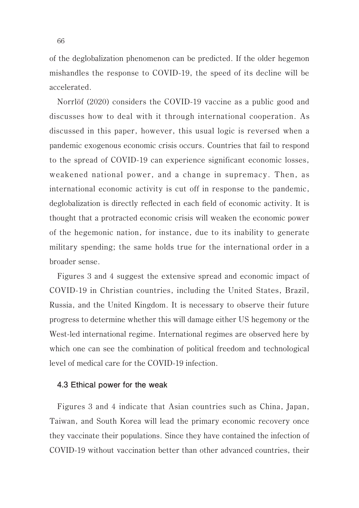of the deglobalization phenomenon can be predicted. If the older hegemon mishandles the response to COVID-19, the speed of its decline will be accelerated.

Norrlöf (2020) considers the COVID-19 vaccine as a public good and discusses how to deal with it through international cooperation. As discussed in this paper, however, this usual logic is reversed when a pandemic exogenous economic crisis occurs. Countries that fail to respond to the spread of COVID-19 can experience significant economic losses, weakened national power, and a change in supremacy. Then, as international economic activity is cut off in response to the pandemic, deglobalization is directly reflected in each field of economic activity. It is thought that a protracted economic crisis will weaken the economic power of the hegemonic nation, for instance, due to its inability to generate military spending; the same holds true for the international order in a broader sense.

Figures 3 and 4 suggest the extensive spread and economic impact of COVID-19 in Christian countries, including the United States, Brazil, Russia, and the United Kingdom. It is necessary to observe their future progress to determine whether this will damage either US hegemony or the West-led international regime. International regimes are observed here by which one can see the combination of political freedom and technological level of medical care for the COVID-19 infection.

#### **4.3 Ethical power for the weak**

Figures 3 and 4 indicate that Asian countries such as China, Japan, Taiwan, and South Korea will lead the primary economic recovery once they vaccinate their populations. Since they have contained the infection of COVID-19 without vaccination better than other advanced countries, their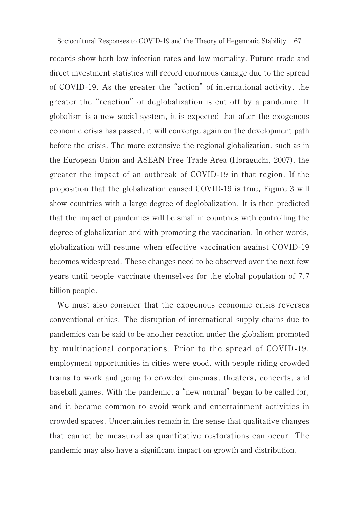records show both low infection rates and low mortality. Future trade and direct investment statistics will record enormous damage due to the spread of COVID-19. As the greater the "action" of international activity, the greater the "reaction" of deglobalization is cut off by a pandemic. If globalism is a new social system, it is expected that after the exogenous economic crisis has passed, it will converge again on the development path before the crisis. The more extensive the regional globalization, such as in the European Union and ASEAN Free Trade Area (Horaguchi, 2007), the greater the impact of an outbreak of COVID-19 in that region. If the proposition that the globalization caused COVID-19 is true, Figure 3 will show countries with a large degree of deglobalization. It is then predicted that the impact of pandemics will be small in countries with controlling the degree of globalization and with promoting the vaccination. In other words, globalization will resume when effective vaccination against COVID-19 becomes widespread. These changes need to be observed over the next few years until people vaccinate themselves for the global population of 7.7 billion people.

We must also consider that the exogenous economic crisis reverses conventional ethics. The disruption of international supply chains due to pandemics can be said to be another reaction under the globalism promoted by multinational corporations. Prior to the spread of COVID-19, employment opportunities in cities were good, with people riding crowded trains to work and going to crowded cinemas, theaters, concerts, and baseball games. With the pandemic, a "new normal" began to be called for, and it became common to avoid work and entertainment activities in crowded spaces. Uncertainties remain in the sense that qualitative changes that cannot be measured as quantitative restorations can occur. The pandemic may also have a significant impact on growth and distribution.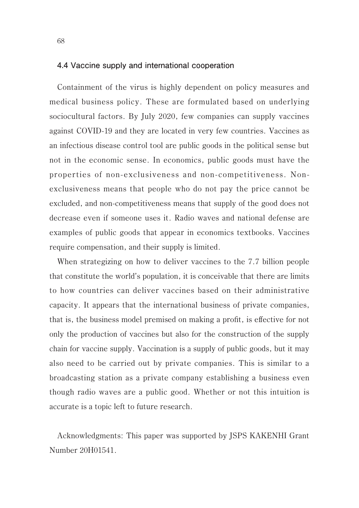#### **4.4 Vaccine supply and international cooperation**

Containment of the virus is highly dependent on policy measures and medical business policy. These are formulated based on underlying sociocultural factors. By July 2020, few companies can supply vaccines against COVID-19 and they are located in very few countries. Vaccines as an infectious disease control tool are public goods in the political sense but not in the economic sense. In economics, public goods must have the properties of non-exclusiveness and non-competitiveness. Nonexclusiveness means that people who do not pay the price cannot be excluded, and non-competitiveness means that supply of the good does not decrease even if someone uses it. Radio waves and national defense are examples of public goods that appear in economics textbooks. Vaccines require compensation, and their supply is limited.

When strategizing on how to deliver vaccines to the 7.7 billion people that constitute the world's population, it is conceivable that there are limits to how countries can deliver vaccines based on their administrative capacity. It appears that the international business of private companies, that is, the business model premised on making a profit, is effective for not only the production of vaccines but also for the construction of the supply chain for vaccine supply. Vaccination is a supply of public goods, but it may also need to be carried out by private companies. This is similar to a broadcasting station as a private company establishing a business even though radio waves are a public good. Whether or not this intuition is accurate is a topic left to future research.

Acknowledgments: This paper was supported by JSPS KAKENHI Grant Number 20H01541.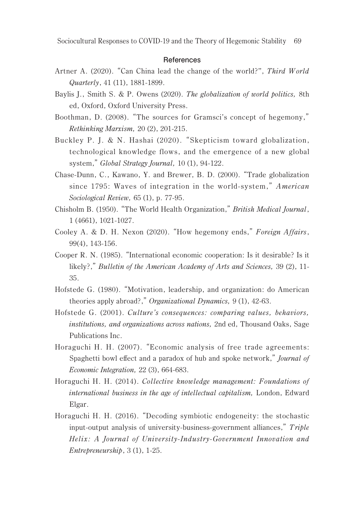#### **References**

- Artner A. (2020). "Can China lead the change of the world?". Third World Quarterly, 41 (11), 1881-1899.
- Baylis I., Smith S. & P. Owens (2020). The globalization of world politics, 8th ed, Oxford, Oxford University Press.
- Boothman, D. (2008). "The sources for Gramsci's concept of hegemony," Rethinking Marxism, 20 (2), 201-215.
- Buckley P. J. & N. Hashai (2020). "Skepticism toward globalization, technological knowledge flows, and the emergence of a new global system," Global Strategy Journal, 10 (1), 94-122.
- Chase-Dunn, C., Kawano, Y. and Brewer, B. D. (2000). "Trade globalization since 1795: Waves of integration in the world-system," American Sociological Review, 65 (1), p. 77-95.
- Chisholm B. (1950). "The World Health Organization," British Medical Journal, 1 (4661), 1021-1027.
- Cooley A. & D. H. Nexon (2020). "How hegemony ends," Foreign Affairs, 99(4), 143-156.
- Cooper R. N. (1985). "International economic cooperation: Is it desirable? Is it likely?," Bulletin of the American Academy of Arts and Sciences, 39 (2), 11-35.
- Hofstede G. (1980). "Motivation, leadership, and organization: do American theories apply abroad?," Organizational Dynamics, 9 (1), 42-63.
- Hofstede G. (2001). Culture's consequences: comparing values, behaviors, institutions, and organizations across nations, 2nd ed. Thousand Oaks, Sage Publications Inc.
- Horaguchi H. H. (2007). "Economic analysis of free trade agreements: Spaghetti bowl effect and a paradox of hub and spoke network," Journal of Economic Integration, 22 (3), 664-683.
- Horaguchi H. H. (2014). Collective knowledge management: Foundations of international business in the age of intellectual capitalism, London, Edward Elgar.
- Horaguchi H. H. (2016). "Decoding symbiotic endogeneity: the stochastic input-output analysis of university-business-government alliances," Triple Helix: A Journal of University-Industry-Government Innovation and Entrepreneurship, 3 (1), 1-25.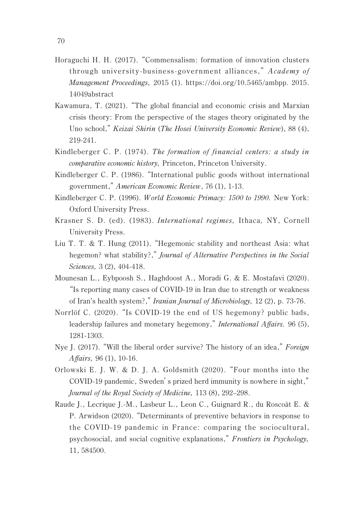- Horaguchi H. H. (2017). "Commensalism: formation of innovation clusters through university-business-government alliances," Academy of Management Proceedings, 2015 (1). https://doi.org/10.5465/ambpp. 2015. 14049abstract
- Kawamura, T. (2021). "The global financial and economic crisis and Marxian crisis theory: From the perspective of the stages theory originated by the Uno school," Keizai Shirin (The Hosei University Economic Review), 88 (4), 219-241.
- Kindleberger C. P. (1974). The formation of financial centers: a study in comparative economic history, Princeton, Princeton University.
- Kindleberger C. P. (1986). "International public goods without international government," American Economic Review, 76 (1), 1-13.
- Kindleberger C. P. (1996). W orld Economic Primacy: 1500 to 1990. New York: Oxford University Press.
- Krasner S. D. (ed). (1983). International regimes, Ithaca, NY, Cornell University Press.
- Liu T. T. & T. Hung (2011). "Hegemonic stability and northeast Asia: what hegemon? what stability?," Journal of Alternative Perspectives in the Social Sciences, 3 (2), 404-418.
- Mounesan L., Eybpoosh S., Haghdoost A., Moradi G. & E. Mostafavi (2020). "Is reporting many cases of COVID-19 in Iran due to strength or weakness of Iran's health system?," Iranian Journal of Microbiology, 12 (2), p. 73-76.
- Norrlöf C. (2020). "Is COVID-19 the end of US hegemony? public bads, leadership failures and monetary hegemony," *International Affairs*, 96 (5), 1281-1303.
- Nye I. (2017). "Will the liberal order survive? The history of an idea," Foreign Affairs, 96 (1), 10-16.
- Orlowski E. J. W. & D. J. A. Goldsmith (2020). "Four months into the COVID-19 pandemic, Sweden's prized herd immunity is nowhere in sight," Journal of the Royal Society of Medicine, 113 (8), 292–298.
- Raude J., Lecrique J.-M., Lasbeur L., Leon C., Guignard R., du Roscoät E. & P. Arwidson (2020). "Determinants of preventive behaviors in response to the COVID-19 pandemic in France: comparing the sociocultural, psychosocial, and social cognitive explanations," Frontiers in Psychology, 11, 584500.